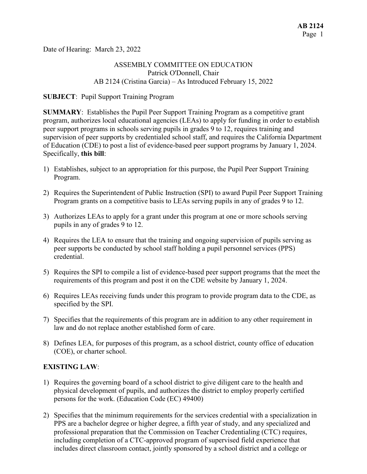Date of Hearing: March 23, 2022

# ASSEMBLY COMMITTEE ON EDUCATION Patrick O'Donnell, Chair AB 2124 (Cristina Garcia) – As Introduced February 15, 2022

#### **SUBJECT**: Pupil Support Training Program

**SUMMARY**: Establishes the Pupil Peer Support Training Program as a competitive grant program, authorizes local educational agencies (LEAs) to apply for funding in order to establish peer support programs in schools serving pupils in grades 9 to 12, requires training and supervision of peer supports by credentialed school staff, and requires the California Department of Education (CDE) to post a list of evidence-based peer support programs by January 1, 2024. Specifically, **this bill**:

- 1) Establishes, subject to an appropriation for this purpose, the Pupil Peer Support Training Program.
- 2) Requires the Superintendent of Public Instruction (SPI) to award Pupil Peer Support Training Program grants on a competitive basis to LEAs serving pupils in any of grades 9 to 12.
- 3) Authorizes LEAs to apply for a grant under this program at one or more schools serving pupils in any of grades 9 to 12.
- 4) Requires the LEA to ensure that the training and ongoing supervision of pupils serving as peer supports be conducted by school staff holding a pupil personnel services (PPS) credential.
- 5) Requires the SPI to compile a list of evidence-based peer support programs that the meet the requirements of this program and post it on the CDE website by January 1, 2024.
- 6) Requires LEAs receiving funds under this program to provide program data to the CDE, as specified by the SPI.
- 7) Specifies that the requirements of this program are in addition to any other requirement in law and do not replace another established form of care.
- 8) Defines LEA, for purposes of this program, as a school district, county office of education (COE), or charter school.

# **EXISTING LAW**:

- 1) Requires the governing board of a school district to give diligent care to the health and physical development of pupils, and authorizes the district to employ properly certified persons for the work. (Education Code (EC) 49400)
- 2) Specifies that the minimum requirements for the services credential with a specialization in PPS are a bachelor degree or higher degree, a fifth year of study, and any specialized and professional preparation that the Commission on Teacher Credentialing (CTC) requires, including completion of a CTC-approved program of supervised field experience that includes direct classroom contact, jointly sponsored by a school district and a college or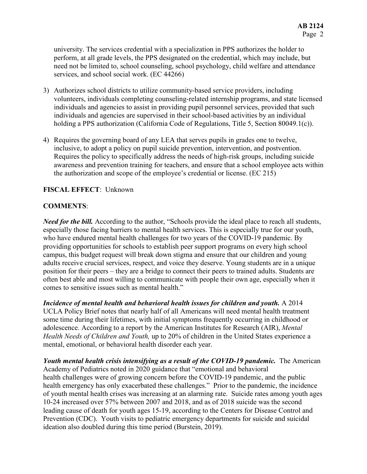university. The services credential with a specialization in PPS authorizes the holder to perform, at all grade levels, the PPS designated on the credential, which may include, but need not be limited to, school counseling, school psychology, child welfare and attendance services, and school social work. (EC 44266)

- 3) Authorizes school districts to utilize community-based service providers, including volunteers, individuals completing counseling-related internship programs, and state licensed individuals and agencies to assist in providing pupil personnel services, provided that such individuals and agencies are supervised in their school-based activities by an individual holding a PPS authorization (California Code of Regulations, Title 5, Section 80049.1(c)).
- 4) Requires the governing board of any LEA that serves pupils in grades one to twelve, inclusive, to adopt a policy on pupil suicide prevention, intervention, and postvention. Requires the policy to specifically address the needs of high-risk groups, including suicide awareness and prevention training for teachers, and ensure that a school employee acts within the authorization and scope of the employee's credential or license. (EC 215)

## **FISCAL EFFECT**: Unknown

## **COMMENTS**:

*Need for the bill.* According to the author, "Schools provide the ideal place to reach all students, especially those facing barriers to mental health services. This is especially true for our youth, who have endured mental health challenges for two years of the COVID-19 pandemic. By providing opportunities for schools to establish peer support programs on every high school campus, this budget request will break down stigma and ensure that our children and young adults receive crucial services, respect, and voice they deserve. Young students are in a unique position for their peers – they are a bridge to connect their peers to trained adults. Students are often best able and most willing to communicate with people their own age, especially when it comes to sensitive issues such as mental health."

*Incidence of mental health and behavioral health issues for children and youth.* A 2014 UCLA Policy Brief notes that nearly half of all Americans will need mental health treatment some time during their lifetimes, with initial symptoms frequently occurring in childhood or adolescence. According to a report by the American Institutes for Research (AIR), *Mental Health Needs of Children and Youth,* up to 20% of children in the United States experience a mental, emotional, or behavioral health disorder each year.

*Youth mental health crisis intensifying as a result of the COVID-19 pandemic.* The American Academy of Pediatrics noted in 2020 guidance that "emotional and behavioral health challenges were of growing concern before the COVID-19 pandemic, and the public health emergency has only exacerbated these challenges." Prior to the pandemic, the incidence of youth mental health crises was increasing at an alarming rate. Suicide rates among youth ages 10-24 increased over 57% between 2007 and 2018, and as of 2018 suicide was the second leading cause of death for youth ages 15-19, according to the Centers for Disease Control and Prevention (CDC). Youth visits to pediatric emergency departments for suicide and suicidal ideation also doubled during this time period (Burstein, 2019).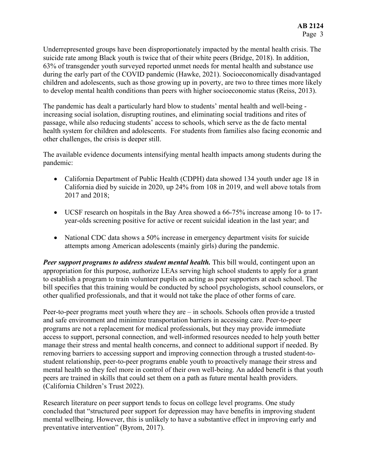Underrepresented groups have been disproportionately impacted by the mental health crisis. The suicide rate among Black youth is twice that of their white peers (Bridge, 2018). In addition, 63% of transgender youth surveyed reported unmet needs for mental health and substance use during the early part of the COVID pandemic (Hawke, 2021). Socioeconomically disadvantaged children and adolescents, such as those growing up in poverty, are two to three times more likely to develop mental health conditions than peers with higher socioeconomic status (Reiss, 2013).

The pandemic has dealt a particularly hard blow to students' mental health and well-being increasing social isolation, disrupting routines, and eliminating social traditions and rites of passage, while also reducing students' access to schools, which serve as the de facto mental health system for children and adolescents. For students from families also facing economic and other challenges, the crisis is deeper still.

The available evidence documents intensifying mental health impacts among students during the pandemic:

- California Department of Public Health (CDPH) data showed 134 youth under age 18 in California died by suicide in 2020, up 24% from 108 in 2019, and well above totals from 2017 and 2018;
- UCSF research on hospitals in the Bay Area showed a 66-75% increase among 10- to 17 year-olds screening positive for active or recent suicidal ideation in the last year; and
- National CDC data shows a 50% increase in emergency department visits for suicide attempts among American adolescents (mainly girls) during the pandemic.

**Peer support programs to address student mental health.** This bill would, contingent upon an appropriation for this purpose, authorize LEAs serving high school students to apply for a grant to establish a program to train volunteer pupils on acting as peer supporters at each school. The bill specifies that this training would be conducted by school psychologists, school counselors, or other qualified professionals, and that it would not take the place of other forms of care.

Peer-to-peer programs meet youth where they are – in schools. Schools often provide a trusted and safe environment and minimize transportation barriers in accessing care. Peer-to-peer programs are not a replacement for medical professionals, but they may provide immediate access to support, personal connection, and well-informed resources needed to help youth better manage their stress and mental health concerns, and connect to additional support if needed. By removing barriers to accessing support and improving connection through a trusted student-tostudent relationship, peer-to-peer programs enable youth to proactively manage their stress and mental health so they feel more in control of their own well-being. An added benefit is that youth peers are trained in skills that could set them on a path as future mental health providers. (California Children's Trust 2022).

Research literature on peer support tends to focus on college level programs. One study concluded that "structured peer support for depression may have benefits in improving student mental wellbeing. However, this is unlikely to have a substantive effect in improving early and preventative intervention" (Byrom, 2017).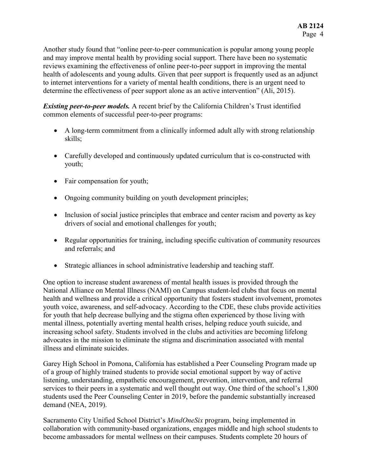Another study found that "online peer-to-peer communication is popular among young people and may improve mental health by providing social support. There have been no systematic reviews examining the effectiveness of online peer-to-peer support in improving the mental health of adolescents and young adults. Given that peer support is frequently used as an adjunct to internet interventions for a variety of mental health conditions, there is an urgent need to determine the effectiveness of peer support alone as an active intervention" (Ali, 2015).

*Existing peer-to-peer models.* A recent brief by the California Children's Trust identified common elements of successful peer-to-peer programs:

- A long-term commitment from a clinically informed adult ally with strong relationship skills;
- Carefully developed and continuously updated curriculum that is co-constructed with youth;
- Fair compensation for youth;
- Ongoing community building on youth development principles;
- Inclusion of social justice principles that embrace and center racism and poverty as key drivers of social and emotional challenges for youth;
- Regular opportunities for training, including specific cultivation of community resources and referrals; and
- Strategic alliances in school administrative leadership and teaching staff.

One option to increase student awareness of mental health issues is provided through the National Alliance on Mental Illness (NAMI) on Campus student-led clubs that focus on mental health and wellness and provide a critical opportunity that fosters student involvement, promotes youth voice, awareness, and self-advocacy. According to the CDE, these clubs provide activities for youth that help decrease bullying and the stigma often experienced by those living with mental illness, potentially averting mental health crises, helping reduce youth suicide, and increasing school safety. Students involved in the clubs and activities are becoming lifelong advocates in the mission to eliminate the stigma and discrimination associated with mental illness and eliminate suicides.

Garey High School in Pomona, California has established a Peer Counseling Program made up of a group of highly trained students to provide social emotional support by way of active listening, understanding, empathetic encouragement, prevention, intervention, and referral services to their peers in a systematic and well thought out way. One third of the school's 1,800 students used the Peer Counseling Center in 2019, before the pandemic substantially increased demand (NEA, 2019).

Sacramento City Unified School District's *MindOneSix* program, being implemented in collaboration with community-based organizations, engages middle and high school students to become ambassadors for mental wellness on their campuses. Students complete 20 hours of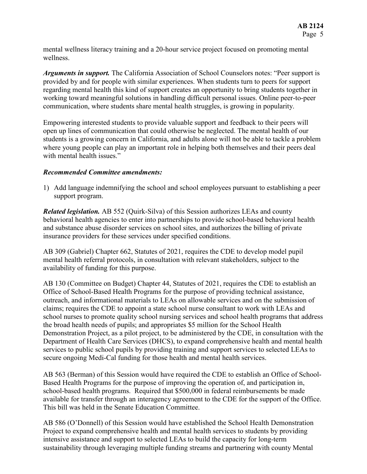mental wellness literacy training and a 20-hour service project focused on promoting mental wellness.

*Arguments in support.* The California Association of School Counselors notes: "Peer support is provided by and for people with similar experiences. When students turn to peers for support regarding mental health this kind of support creates an opportunity to bring students together in working toward meaningful solutions in handling difficult personal issues. Online peer-to-peer communication, where students share mental health struggles, is growing in popularity.

Empowering interested students to provide valuable support and feedback to their peers will open up lines of communication that could otherwise be neglected. The mental health of our students is a growing concern in California, and adults alone will not be able to tackle a problem where young people can play an important role in helping both themselves and their peers deal with mental health issues."

#### *Recommended Committee amendments:*

1) Add language indemnifying the school and school employees pursuant to establishing a peer support program.

*Related legislation.* AB 552 (Quirk-Silva) of this Session authorizes LEAs and county behavioral health agencies to enter into partnerships to provide school-based behavioral health and substance abuse disorder services on school sites, and authorizes the billing of private insurance providers for these services under specified conditions.

AB 309 (Gabriel) Chapter 662, Statutes of 2021, requires the CDE to develop model pupil mental health referral protocols, in consultation with relevant stakeholders, subject to the availability of funding for this purpose.

AB 130 (Committee on Budget) Chapter 44, Statutes of 2021, requires the CDE to establish an Office of School-Based Health Programs for the purpose of providing technical assistance, outreach, and informational materials to LEAs on allowable services and on the submission of claims; requires the CDE to appoint a state school nurse consultant to work with LEAs and school nurses to promote quality school nursing services and school health programs that address the broad health needs of pupils; and appropriates \$5 million for the School Health Demonstration Project, as a pilot project, to be administered by the CDE, in consultation with the Department of Health Care Services (DHCS), to expand comprehensive health and mental health services to public school pupils by providing training and support services to selected LEAs to secure ongoing Medi-Cal funding for those health and mental health services.

AB 563 (Berman) of this Session would have required the CDE to establish an Office of School-Based Health Programs for the purpose of improving the operation of, and participation in, school-based health programs. Required that \$500,000 in federal reimbursements be made available for transfer through an interagency agreement to the CDE for the support of the Office. This bill was held in the Senate Education Committee.

AB 586 (O'Donnell) of this Session would have established the School Health Demonstration Project to expand comprehensive health and mental health services to students by providing intensive assistance and support to selected LEAs to build the capacity for long-term sustainability through leveraging multiple funding streams and partnering with county Mental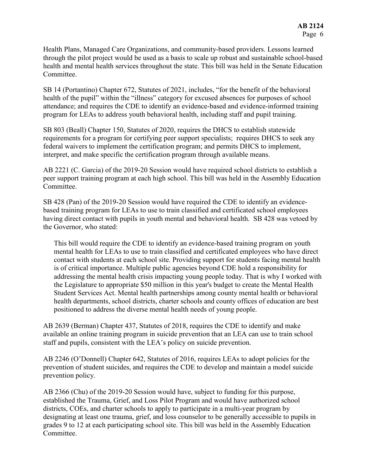Health Plans, Managed Care Organizations, and community-based providers. Lessons learned through the pilot project would be used as a basis to scale up robust and sustainable school-based health and mental health services throughout the state. This bill was held in the Senate Education Committee.

SB 14 (Portantino) Chapter 672, Statutes of 2021, includes, "for the benefit of the behavioral health of the pupil" within the "illness" category for excused absences for purposes of school attendance; and requires the CDE to identify an evidence-based and evidence-informed training program for LEAs to address youth behavioral health, including staff and pupil training.

SB 803 (Beall) Chapter 150, Statutes of 2020, requires the DHCS to establish statewide requirements for a program for certifying peer support specialists; requires DHCS to seek any federal waivers to implement the certification program; and permits DHCS to implement, interpret, and make specific the certification program through available means.

AB 2221 (C. Garcia) of the 2019-20 Session would have required school districts to establish a peer support training program at each high school. This bill was held in the Assembly Education Committee.

SB 428 (Pan) of the 2019-20 Session would have required the CDE to identify an evidencebased training program for LEAs to use to train classified and certificated school employees having direct contact with pupils in youth mental and behavioral health. SB 428 was vetoed by the Governor, who stated:

This bill would require the CDE to identify an evidence-based training program on youth mental health for LEAs to use to train classified and certificated employees who have direct contact with students at each school site. Providing support for students facing mental health is of critical importance. Multiple public agencies beyond CDE hold a responsibility for addressing the mental health crisis impacting young people today. That is why I worked with the Legislature to appropriate \$50 million in this year's budget to create the Mental Health Student Services Act. Mental health partnerships among county mental health or behavioral health departments, school districts, charter schools and county offices of education are best positioned to address the diverse mental health needs of young people.

AB 2639 (Berman) Chapter 437, Statutes of 2018, requires the CDE to identify and make available an online training program in suicide prevention that an LEA can use to train school staff and pupils, consistent with the LEA's policy on suicide prevention.

AB 2246 (O'Donnell) Chapter 642, Statutes of 2016, requires LEAs to adopt policies for the prevention of student suicides, and requires the CDE to develop and maintain a model suicide prevention policy.

AB 2366 (Chu) of the 2019-20 Session would have, subject to funding for this purpose, established the Trauma, Grief, and Loss Pilot Program and would have authorized school districts, COEs, and charter schools to apply to participate in a multi-year program by designating at least one trauma, grief, and loss counselor to be generally accessible to pupils in grades 9 to 12 at each participating school site. This bill was held in the Assembly Education Committee.